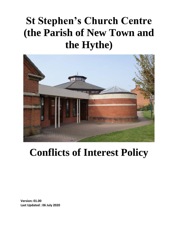# **St Stephen's Church Centre (the Parish of New Town and the Hythe)**



## **Conflicts of Interest Policy**

**Version: 01.00 Last Updated : 06 July 2020**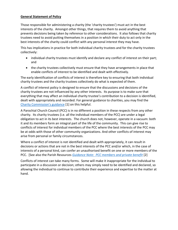#### **General Statement of Policy**

Those responsible for administering a charity (the 'charity trustees') must act in the best interests of the charity. Amongst other things, that requires them to avoid anything that prevents decisions being taken by reference to other considerations. It also follows that charity trustees need to avoid putting themselves in a position in which their duty to act only in the best interests of the charity could conflict with any personal interest they may have.

This has implications in practice for both individual charity trustees and for the charity trustees collectively:

- individual charity trustees must identify and declare any conflict of interest on their part; and
- the charity trustees collectively must ensure that they have arrangements in place that enable conflicts of interest to be identified and dealt with effectively.

The early identification of conflicts of interest is therefore key to ensuring that both individual charity trustees and the charity trustees collectively do what is expected of them.

A conflict of interest policy is designed to ensure that the discussions and decisions of the charity trustees are not influenced by any other interests. Its purpose is to make sure that everything that may affect an individual charity trustee's contribution to a decision is identified, dealt with appropriately and recorded. For general guidance to charities, you may find the [Charity Commission's guidance](https://www.gov.uk/guidance/manage-a-conflict-of-interest-in-your-charity) [1] on this helpful.

A Parochial Church Council (PCC) is in no different a position in these respects from any other charity. Its charity trustees (i.e. all the individual members of the PCC) are under a legal obligation to act in its best interests. The church does not, however, operate in a vacuum: both it and its members form an integral part of the life of the community. This can give rise to conflicts of interest for individual members of the PCC where the best interests of the PCC may be at odds with those of other community organizations. And other conflicts of interest may arise from personal or family circumstances.

Where a conflict of interest is not identified and dealt with appropriately, it can result in decisions or actions that are not in the best interests of the PCC and/or which, in the case of interests of a personal kind, can confer an unauthorised benefit on one or more members of the PCC. [See also the Parish Resources *[Guidance Note: PCC members and private benefit](https://www.parishresources.org.uk/wp-content/uploads/remunerationguidance.pdf)* [2]

Conflicts of interest can take many forms. Some will make it inappropriate for the individual to participate in a discussion or decision; others may simply need to be identified and declared, so allowing the individual to continue to contribute their experience and expertise to the matter at hand.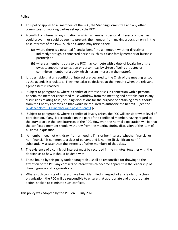#### **Policy**

- 1. This policy applies to all members of the PCC, the Standing Committee and any other committees or working parties set up by the PCC.
- 2. A conflict of interest is any situation in which a member's personal interests or loyalties could prevent, or could be seen to prevent, the member from making a decision only in the best interests of the PCC. Such a situation may arise either:
	- (a) where there is a potential financial benefit to a member, whether directly or indirectly through a connected person (such as a close family member or business partner); or
	- (b) where a member's duty to the PCC may compete with a duty of loyalty he or she owes to another organization or person (e.g. by virtue of being a trustee or committee member of a body which has an interest in the matter).
- 3. It is desirable that any conflicts of interest are declared to the Chair of the meeting as soon as the agenda is circulated. They must also be declared at the meeting when the relevant agenda item is reached.
- 4. Subject to paragraph 6, where a conflict of interest arises in connection with a personal benefit, the member concerned must withdraw from the meeting and not take part in any discussions relating to it (including discussions for the purpose of obtaining any authority from the Charity Commission that would be required to authorize the benefit – (see the [Guidance Note: PCC members and private benefit](https://www.parishresources.org.uk/wp-content/uploads/remunerationguidance.pdf) [2]).
- 5. Subject to paragraph 6, where a conflict of loyalty arises, the PCC will consider what level of participation, if any, is acceptable on the part of the conflicted member, having regard to the duty to act in the best interests of the PCC. However, the normal expectation will be that the conflicted member should withdraw from the meeting during discussion of the item of business in question.
- 6. A member need not withdraw from a meeting if his or her interest (whether financial or non-financial) is common to a class of persons and is neither (i) significant nor (ii) substantially greater than the interests of other members of that class.
- 7. The existence of a conflict of interest must be recorded in the minutes, together with the decision as to how it should be dealt with.
- 8. Those bound by this policy under paragraph 1 shall be responsible for drawing to the attention of the PCC any conflicts of interest which become apparent in the leadership of church groups and organisations.
- 9. Where such conflicts of interest have been identified in respect of any leader of a church organisation, the PCC will be responsible to ensure that appropriate and proportionate action is taken to eliminate such conflicts.

This policy was adopted by the PCC on 06 July 2020.